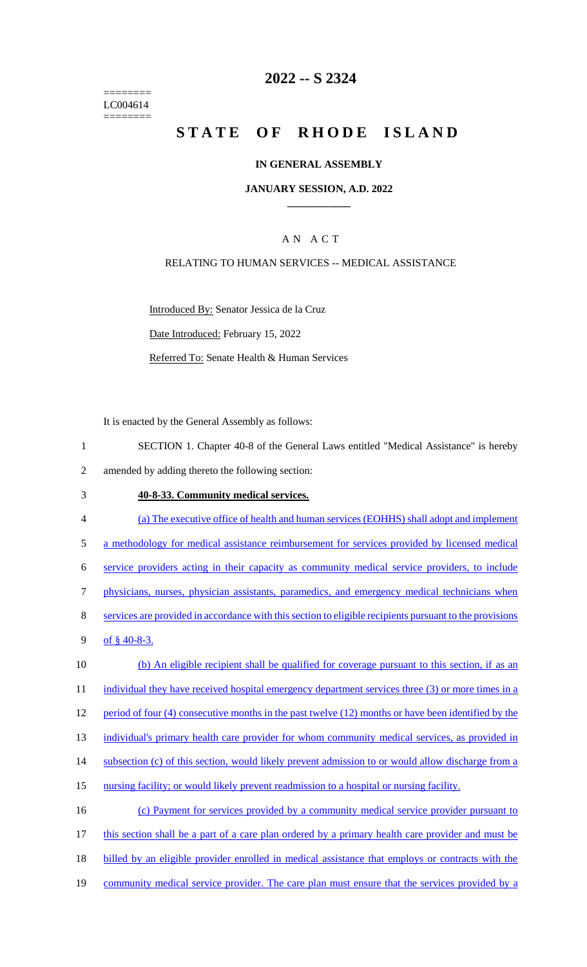======== LC004614 ========

## **2022 -- S 2324**

# **STATE OF RHODE ISLAND**

### **IN GENERAL ASSEMBLY**

#### **JANUARY SESSION, A.D. 2022 \_\_\_\_\_\_\_\_\_\_\_\_**

### A N A C T

### RELATING TO HUMAN SERVICES -- MEDICAL ASSISTANCE

Introduced By: Senator Jessica de la Cruz Date Introduced: February 15, 2022 Referred To: Senate Health & Human Services

It is enacted by the General Assembly as follows:

- 1 SECTION 1. Chapter 40-8 of the General Laws entitled "Medical Assistance" is hereby 2 amended by adding thereto the following section:
- 3 **40-8-33. Community medical services.**
- 4 (a) The executive office of health and human services (EOHHS) shall adopt and implement 5 a methodology for medical assistance reimbursement for services provided by licensed medical 6 service providers acting in their capacity as community medical service providers, to include 7 physicians, nurses, physician assistants, paramedics, and emergency medical technicians when 8 services are provided in accordance with this section to eligible recipients pursuant to the provisions 9 of  $$40-8-3$ . 10 (b) An eligible recipient shall be qualified for coverage pursuant to this section, if as an 11 individual they have received hospital emergency department services three (3) or more times in a 12 period of four (4) consecutive months in the past twelve (12) months or have been identified by the 13 individual's primary health care provider for whom community medical services, as provided in 14 subsection (c) of this section, would likely prevent admission to or would allow discharge from a 15 nursing facility; or would likely prevent readmission to a hospital or nursing facility. 16 (c) Payment for services provided by a community medical service provider pursuant to 17 this section shall be a part of a care plan ordered by a primary health care provider and must be 18 billed by an eligible provider enrolled in medical assistance that employs or contracts with the 19 community medical service provider. The care plan must ensure that the services provided by a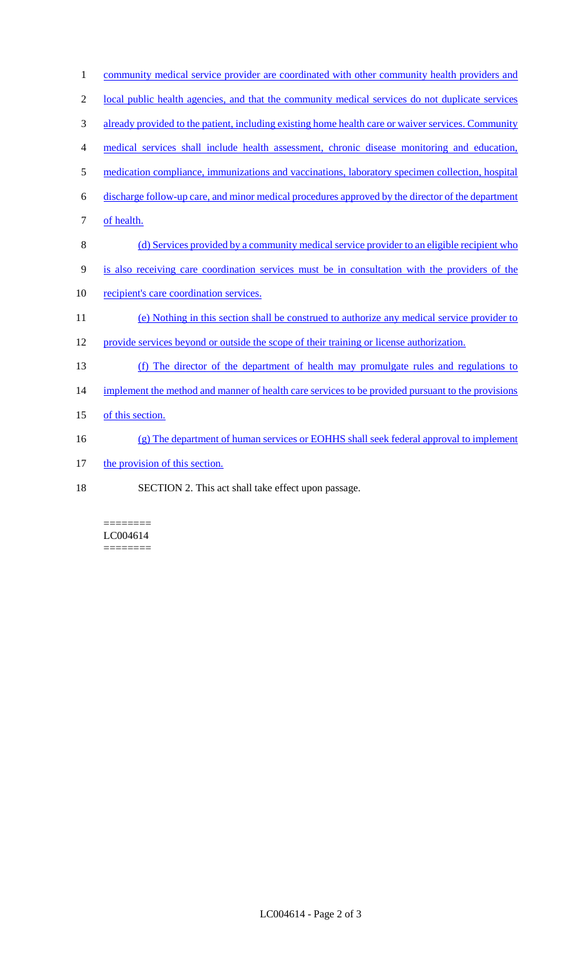| $\mathbf{1}$   | community medical service provider are coordinated with other community health providers and       |
|----------------|----------------------------------------------------------------------------------------------------|
| $\overline{2}$ | local public health agencies, and that the community medical services do not duplicate services    |
| 3              | already provided to the patient, including existing home health care or waiver services. Community |
| 4              | medical services shall include health assessment, chronic disease monitoring and education,        |
| 5              | medication compliance, immunizations and vaccinations, laboratory specimen collection, hospital    |
| 6              | discharge follow-up care, and minor medical procedures approved by the director of the department  |
| 7              | of health.                                                                                         |
| 8              | (d) Services provided by a community medical service provider to an eligible recipient who         |
| 9              | is also receiving care coordination services must be in consultation with the providers of the     |
| 10             | recipient's care coordination services.                                                            |
| 11             | (e) Nothing in this section shall be construed to authorize any medical service provider to        |
| 12             | provide services beyond or outside the scope of their training or license authorization.           |
| 13             | (f) The director of the department of health may promulgate rules and regulations to               |
| 14             | implement the method and manner of health care services to be provided pursuant to the provisions  |
| 15             | of this section.                                                                                   |
| 16             | (g) The department of human services or EOHHS shall seek federal approval to implement             |
| 17             | the provision of this section.                                                                     |
| 18             | SECTION 2. This act shall take effect upon passage.                                                |

======== LC004614  $=$